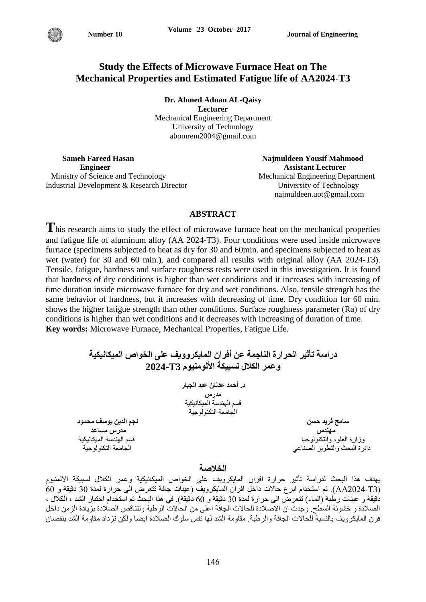# **Study the Effects of Microwave Furnace Heat on The Mechanical Properties and Estimated Fatigue life of AA2024-T3**

**Dr. Ahmed Adnan AL-Qaisy Lecturer** Mechanical Engineering Department University of Technology abomrem2004@gmail.com

**Sameh Fareed Hasan Najmuldeen Yousif Mahmood Engineer Assistant Lecturer** Assistant Lecturer Ministry of Science and Technology Mechanical Engineering Department Industrial Development & Research Director University of Technology

najmuldeen.uot@gmail.com

## **ABSTRACT**

This research aims to study the effect of microwave furnace heat on the mechanical properties and fatigue life of aluminum alloy (AA 2024-T3). Four conditions were used inside microwave furnace (specimens subjected to heat as dry for 30 and 60min. and specimens subjected to heat as wet (water) for 30 and 60 min.), and compared all results with original alloy (AA 2024-T3). Tensile, fatigue, hardness and surface roughness tests were used in this investigation. It is found that hardness of dry conditions is higher than wet conditions and it increases with increasing of time duration inside microwave furnace for dry and wet conditions. Also, tensile strength has the same behavior of hardness, but it increases with decreasing of time. Dry condition for 60 min. shows the higher fatigue strength than other conditions. Surface roughness parameter (Ra) of dry conditions is higher than wet conditions and it decreases with increasing of duration of time. **Key words:** Microwave Furnace, Mechanical Properties, Fatigue Life.

| دراسة تأثير الحرارة الناجمة عن أفران المايكروويف على الخواص الميكانيكية<br>وعمر الكلال لسبيكة الألومنيوم T3-2024 |                              |
|------------------------------------------------------------------------------------------------------------------|------------------------------|
| د. أحمد عدنان عبد الجبار                                                                                         |                              |
| مدرس<br>قسم الهندسة الميكانيكية                                                                                  |                              |
| الجامعة التكنولوجية                                                                                              |                              |
| نجم الدين يوسف محمود                                                                                             | سامح فريد حسن                |
| مدرس مساعد                                                                                                       | مهندس                        |
| قسم الهندسة الميكانيكية                                                                                          | وزارة العلوم والتكنولوجيا    |
| الحامعة التكنولوجية                                                                                              | دائرة البحث والتطوير الصناعي |

## **الخالصت**

يهدف هذا البحث لدراسة تأثير حرارة افران المايكرويف على الخواص الميكانيكية وعمر الكلال لسبيكة الالمنيوم (AA2024-T3). تم استخدام ابزع حالات داخل افزان المايكزويف (عينات جافة تتعرض الى حزارة لمدة 30 دقيقة و 60 دقيقة و عينات رطبة (الماء) تتعرض الى حرارة لمدة 30 دقيقة و 60 دقيقة). في هذا البحث تم استخدام اختبار الشد ، الكلال ، الصلادة و خشونة السطح. وجدت ان الاصلادة للحالات الجافة اعلى من الحالات الرطبة وتتناقص الصلادة بزيادة الزمن داخل فرن المايكزويف بالنسبة للحالات الجافة والزطبة. مقاومة الشد لها نفس سلوك الصلادة ايضا ولكن تزداد مقاومة الشد بنقصان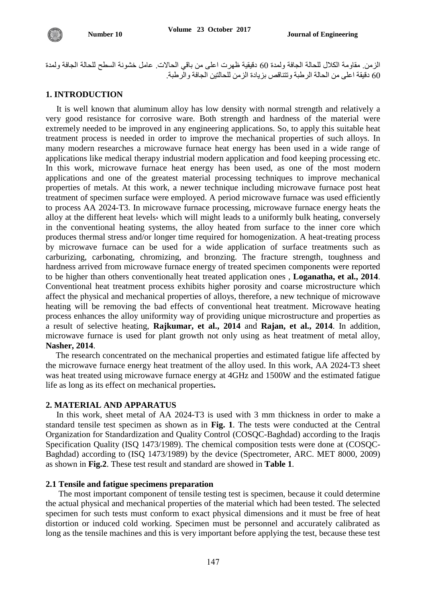الزمن. مقاومة الكلال للحالة الجافة ولمدة 60 دقيقية ظهرت اعلى من باقي الحالات. عامل خشونة السطح للحالة الجافة ولمدة 60 دقيقة اعلى من الحالة الرطبة وتتُناقص بزيادة الزمن للحالتين الجافة والرطبة.

## **1. INTRODUCTION**

 It is well known that aluminum alloy has low density with normal strength and relatively a very good resistance for corrosive ware. Both strength and hardness of the material were extremely needed to be improved in any engineering applications. So, to apply this suitable heat treatment process is needed in order to improve the mechanical properties of such alloys. In many modern researches a microwave furnace heat energy has been used in a wide range of applications like medical therapy industrial modern application and food keeping processing etc. In this work, microwave furnace heat energy has been used, as one of the most modern applications and one of the greatest material processing techniques to improve mechanical properties of metals. At this work, a newer technique including microwave furnace post heat treatment of specimen surface were employed. A period microwave furnace was used efficiently to process AA 2024-T3. In microwave furnace processing, microwave furnace energy heats the alloy at the different heat levels, which will might leads to a uniformly bulk heating, conversely in the conventional heating systems, the alloy heated from surface to the inner core which produces thermal stress and/or longer time required for homogenization. A heat-treating process by microwave furnace can be used for a wide application of surface treatments such as carburizing, carbonating, chromizing, and bronzing. The fracture strength, toughness and hardness arrived from microwave furnace energy of treated specimen components were reported to be higher than others conventionally heat treated application ones , **Loganatha, et al., 2014**. Conventional heat treatment process exhibits higher porosity and coarse microstructure which affect the physical and mechanical properties of alloys, therefore, a new technique of microwave heating will be removing the bad effects of conventional heat treatment. Microwave heating process enhances the alloy uniformity way of providing unique microstructure and properties as a result of selective heating, **Rajkumar, et al., 2014** and **Rajan, et al., 2014**. In addition, microwave furnace is used for plant growth not only using as heat treatment of metal alloy, **Nasher, 2014**.

The research concentrated on the mechanical properties and estimated fatigue life affected by the microwave furnace energy heat treatment of the alloy used. In this work, AA 2024-T3 sheet was heat treated using microwave furnace energy at 4GHz and 1500W and the estimated fatigue life as long as its effect on mechanical properties**.**

### **2. MATERIAL AND APPARATUS**

 In this work, sheet metal of AA 2024-T3 is used with 3 mm thickness in order to make a standard tensile test specimen as shown as in **Fig. 1**. The tests were conducted at the Central Organization for Standardization and Quality Control (COSQC-Baghdad) according to the Iraqis Specification Quality (ISQ 1473/1989). The chemical composition tests were done at (COSQC-Baghdad) according to (ISQ 1473/1989) by the device (Spectrometer, ARC. MET 8000, 2009) as shown in **Fig.2**. These test result and standard are showed in **Table 1**.

#### **2.1 Tensile and fatigue specimens preparation**

 The most important component of tensile testing test is specimen, because it could determine the actual physical and mechanical properties of the material which had been tested. The selected specimen for such tests must conform to exact physical dimensions and it must be free of heat distortion or induced cold working. Specimen must be personnel and accurately calibrated as long as the tensile machines and this is very important before applying the test, because these test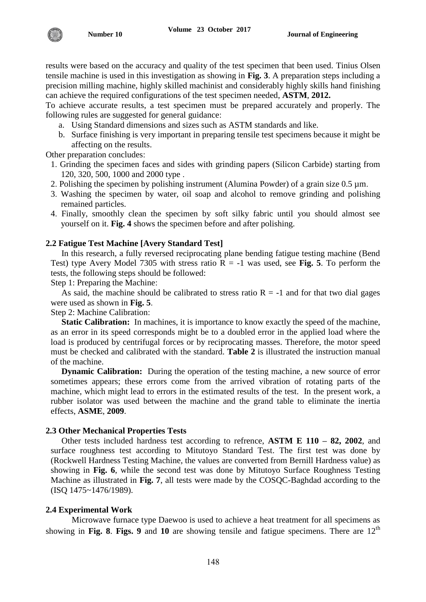results were based on the accuracy and quality of the test specimen that been used. Tinius Olsen tensile machine is used in this investigation as showing in **Fig. 3**. A preparation steps including a precision milling machine, highly skilled machinist and considerably highly skills hand finishing can achieve the required configurations of the test specimen needed, **ASTM**, **2012.**

To achieve accurate results, a test specimen must be prepared accurately and properly. The following rules are suggested for general guidance:

- a. Using Standard dimensions and sizes such as ASTM standards and like.
- b. Surface finishing is very important in preparing tensile test specimens because it might be affecting on the results.

Other preparation concludes:

- 1. Grinding the specimen faces and sides with grinding papers (Silicon Carbide) starting from 120, 320, 500, 1000 and 2000 type .
- 2. Polishing the specimen by polishing instrument (Alumina Powder) of a grain size 0.5 µm.
- 3. Washing the specimen by water, oil soap and alcohol to remove grinding and polishing remained particles.
- 4. Finally, smoothly clean the specimen by soft silky fabric until you should almost see yourself on it. **Fig. 4** shows the specimen before and after polishing.

## **2.2 Fatigue Test Machine [Avery Standard Test]**

 In this research, a fully reversed reciprocating plane bending fatigue testing machine (Bend Test) type Avery Model 7305 with stress ratio  $R = -1$  was used, see Fig. 5. To perform the tests, the following steps should be followed:

Step 1: Preparing the Machine:

As said, the machine should be calibrated to stress ratio  $R = -1$  and for that two dial gages were used as shown in **Fig. 5**.

Step 2: Machine Calibration:

**Static Calibration:** In machines, it is importance to know exactly the speed of the machine, as an error in its speed corresponds might be to a doubled error in the applied load where the load is produced by centrifugal forces or by reciprocating masses. Therefore, the motor speed must be checked and calibrated with the standard. **Table 2** is illustrated the instruction manual of the machine.

**Dynamic Calibration:** During the operation of the testing machine, a new source of error sometimes appears; these errors come from the arrived vibration of rotating parts of the machine, which might lead to errors in the estimated results of the test. In the present work, a rubber isolator was used between the machine and the grand table to eliminate the inertia effects, **ASME**, **2009**.

## **2.3 Other Mechanical Properties Tests**

 Other tests included hardness test according to refrence, **ASTM E 110 – 82, 2002**, and surface roughness test according to Mitutoyo Standard Test. The first test was done by (Rockwell Hardness Testing Machine, the values are converted from Bernill Hardness value) as showing in **Fig. 6**, while the second test was done by Mitutoyo Surface Roughness Testing Machine as illustrated in **Fig. 7**, all tests were made by the COSQC-Baghdad according to the (ISQ 1475~1476/1989).

# **2.4 Experimental Work**

 Microwave furnace type Daewoo is used to achieve a heat treatment for all specimens as showing in Fig. 8. Figs. 9 and 10 are showing tensile and fatigue specimens. There are  $12<sup>th</sup>$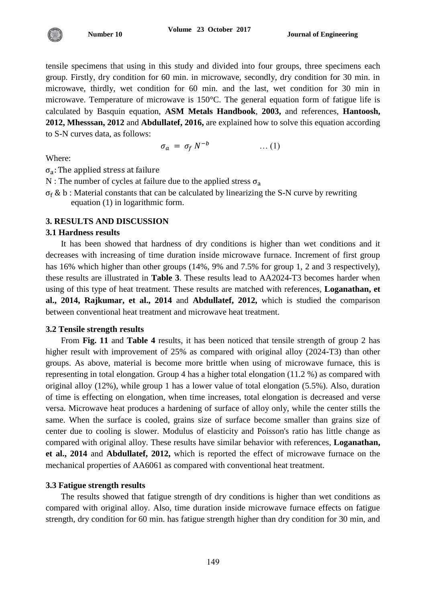

tensile specimens that using in this study and divided into four groups, three specimens each group. Firstly, dry condition for 60 min. in microwave, secondly, dry condition for 30 min. in microwave, thirdly, wet condition for 60 min. and the last, wet condition for 30 min in microwave. Temperature of microwave is 150°C. The general equation form of fatigue life is calculated by Basquin equation, **ASM Metals Handbook**, **2003,** and references, **Hantoosh, 2012, Mhesssan, 2012** and **Abdullatef, 2016,** are explained how to solve this equation according to S-N curves data, as follows:

$$
\sigma_a = \sigma_f N^{-b} \qquad \qquad \dots (1)
$$

Where:

 $\sigma_{a}$ :

N : The number of cycles at failure due to the applied stress  $\sigma_a$ 

 $\sigma_f$  & b : Material constants that can be calculated by linearizing the S-N curve by rewriting equation (1) in logarithmic form.

### **3. RESULTS AND DISCUSSION**

### **3.1 Hardness results**

It has been showed that hardness of dry conditions is higher than wet conditions and it decreases with increasing of time duration inside microwave furnace. Increment of first group has 16% which higher than other groups (14%, 9% and 7.5% for group 1, 2 and 3 respectively), these results are illustrated in **Table 3**. These results lead to AA2024-T3 becomes harder when using of this type of heat treatment. These results are matched with references, **Loganathan, et al., 2014, Rajkumar, et al., 2014** and **Abdullatef, 2012,** which is studied the comparison between conventional heat treatment and microwave heat treatment.

#### **3.2 Tensile strength results**

From **Fig. 11** and **Table 4** results, it has been noticed that tensile strength of group 2 has higher result with improvement of 25% as compared with original alloy (2024-T3) than other groups. As above, material is become more brittle when using of microwave furnace, this is representing in total elongation. Group 4 has a higher total elongation (11.2 %) as compared with original alloy (12%), while group 1 has a lower value of total elongation (5.5%). Also, duration of time is effecting on elongation, when time increases, total elongation is decreased and verse versa. Microwave heat produces a hardening of surface of alloy only, while the center stills the same. When the surface is cooled, grains size of surface become smaller than grains size of center due to cooling is slower. Modulus of elasticity and Poisson's ratio has little change as compared with original alloy. These results have similar behavior with references, **Loganathan, et al., 2014** and **Abdullatef, 2012,** which is reported the effect of microwave furnace on the mechanical properties of AA6061 as compared with conventional heat treatment.

### **3.3 Fatigue strength results**

The results showed that fatigue strength of dry conditions is higher than wet conditions as compared with original alloy. Also, time duration inside microwave furnace effects on fatigue strength, dry condition for 60 min. has fatigue strength higher than dry condition for 30 min, and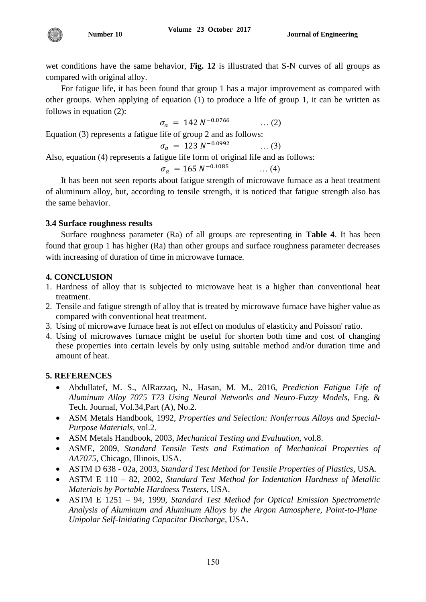wet conditions have the same behavior, **Fig. 12** is illustrated that S-N curves of all groups as compared with original alloy.

For fatigue life, it has been found that group 1 has a major improvement as compared with other groups. When applying of equation (1) to produce a life of group 1, it can be written as follows in equation (2):

$$
\sigma_a = 142 \, N^{-0.0766} \qquad \qquad \dots (2)
$$

Equation (3) represents a fatigue life of group 2 and as follows:

 $\sigma_a = 123 N^{-1}$ … (3)

Also, equation (4) represents a fatigue life form of original life and as follows:

$$
\sigma_a = 165 \, N^{-0.1085} \qquad \qquad \dots (4)
$$

It has been not seen reports about fatigue strength of microwave furnace as a heat treatment of aluminum alloy, but, according to tensile strength, it is noticed that fatigue strength also has the same behavior.

# **3.4 Surface roughness results**

**Number 10**

Surface roughness parameter (Ra) of all groups are representing in **Table 4**. It has been found that group 1 has higher (Ra) than other groups and surface roughness parameter decreases with increasing of duration of time in microwave furnace.

# **4. CONCLUSION**

- 1. Hardness of alloy that is subjected to microwave heat is a higher than conventional heat treatment.
- 2. Tensile and fatigue strength of alloy that is treated by microwave furnace have higher value as compared with conventional heat treatment.
- 3. Using of microwave furnace heat is not effect on modulus of elasticity and Poisson' ratio.
- 4. Using of microwaves furnace might be useful for shorten both time and cost of changing these properties into certain levels by only using suitable method and/or duration time and amount of heat.

# **5. REFERENCES**

- Abdullatef, M. S., AlRazzaq, N., Hasan, M. M., 2016, *Prediction Fatigue Life of Aluminum Alloy 7075 T73 Using Neural Networks and Neuro-Fuzzy Models*, Eng. & Tech. Journal, Vol.34,Part (A), No.2.
- ASM Metals Handbook, 1992, *Properties and Selection: Nonferrous Alloys and Special-Purpose Materials,* vol.2.
- ASM Metals Handbook, 2003, *Mechanical Testing and Evaluation*, vol.8.
- ASME, 2009, *Standard Tensile Tests and Estimation of Mechanical Properties of AA7075*, Chicago, Illinois, USA.
- ASTM D 638 02a, 2003, *Standard Test Method for Tensile Properties of Plastics*, USA.
- ASTM E 110 82, 2002, *Standard Test Method for Indentation Hardness of Metallic Materials by Portable Hardness Testers*, USA.
- ASTM E 1251 94, 1999, *Standard Test Method for Optical Emission Spectrometric Analysis of Aluminum and Aluminum Alloys by the Argon Atmosphere, Point-to-Plane Unipolar Self-Initiating Capacitor Discharge*, USA.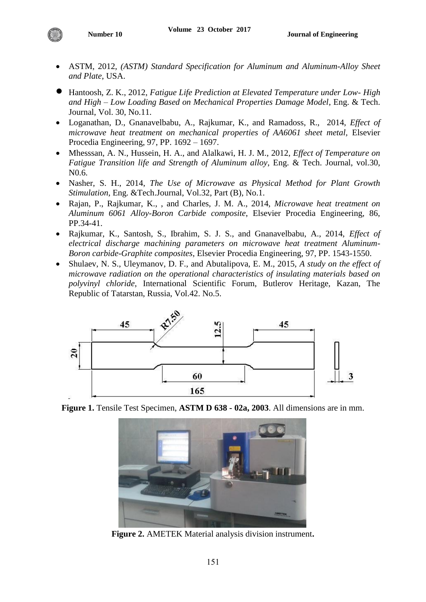- ASTM, 2012, *(ASTM) Standard Specification for Aluminum and Aluminum-Alloy Sheet and Plate*, USA.
- Hantoosh, Z. K., 2012, *Fatigue Life Prediction at Elevated Temperature under Low- High and High – Low Loading Based on Mechanical Properties Damage Model*, Eng. & Tech. Journal, Vol. 30, No.11.
- Loganathan, D., Gnanavelbabu, A., Rajkumar, K., and Ramadoss, R., 2014, *Effect of microwave heat treatment on mechanical properties of AA6061 sheet metal,* Elsevier Procedia Engineering, 97, PP. 1692 – 1697.
- Mhesssan, A. N., Hussein, H. A., and Alalkawi, H. J. M., 2012, *Effect of Temperature on Fatigue Transition life and Strength of Aluminum alloy*, Eng. & Tech. Journal, vol.30, N0.6.
- Nasher, S. H., 2014, *The Use of Microwave as Physical Method for Plant Growth Stimulation*, Eng. &Tech.Journal, Vol.32, Part (B), No.1.
- Rajan, P., Rajkumar, K., , and Charles, J. M. A., 2014, *Microwave heat treatment on Aluminum 6061 Alloy-Boron Carbide composite*, Elsevier Procedia Engineering, 86, PP.34-41.
- Rajkumar, K., Santosh, S., Ibrahim, S. J. S., and Gnanavelbabu, A., 2014, *Effect of electrical discharge machining parameters on microwave heat treatment Aluminum-Boron carbide-Graphite composites*, Elsevier Procedia Engineering, 97, PP. 1543-1550.
- Shulaev, N. S., Uleymanov, D. F., and Abutalipova, E. M., 2015, *A study on the effect of microwave radiation on the operational characteristics of insulating materials based on polyvinyl chloride*, International Scientific Forum, Butlerov Heritage, Kazan, The Republic of Tatarstan, Russia, Vol.42. No.5.



**Figure 1.** Tensile Test Specimen, **ASTM D 638 - 02a, 2003**. All dimensions are in mm.



**Figure 2.** AMETEK Material analysis division instrument**.**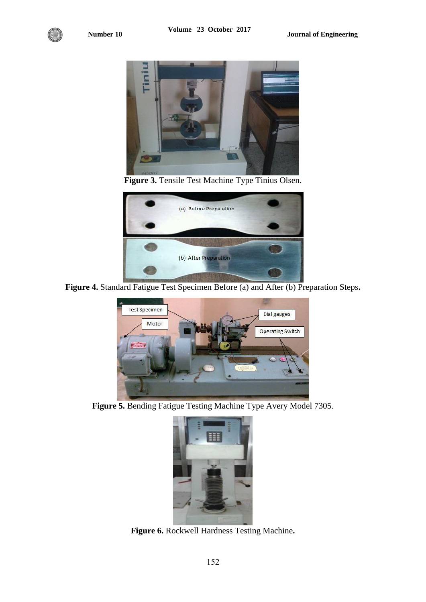

**Figure 3.** Tensile Test Machine Type Tinius Olsen.



**Figure 4.** Standard Fatigue Test Specimen Before (a) and After (b) Preparation Steps**.**



**Figure 5.** Bending Fatigue Testing Machine Type Avery Model 7305.



**Figure 6.** Rockwell Hardness Testing Machine**.**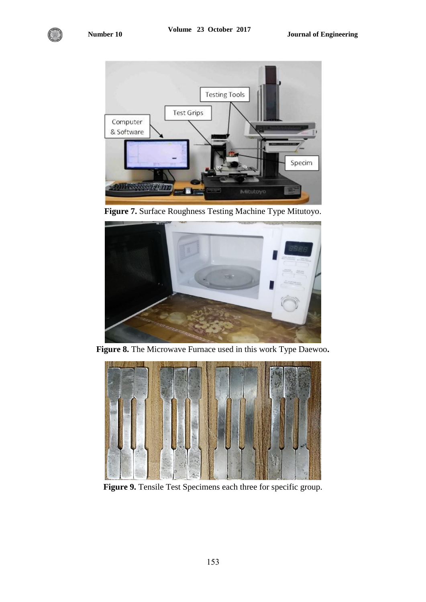

**Figure 7.** Surface Roughness Testing Machine Type Mitutoyo.



**Figure 8.** The Microwave Furnace used in this work Type Daewoo**.**



**Figure 9.** Tensile Test Specimens each three for specific group.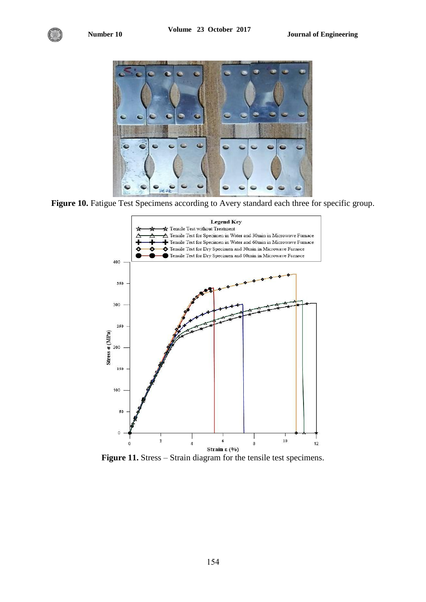

Figure 10. Fatigue Test Specimens according to Avery standard each three for specific group.



Figure 11. Stress – Strain diagram for the tensile test specimens.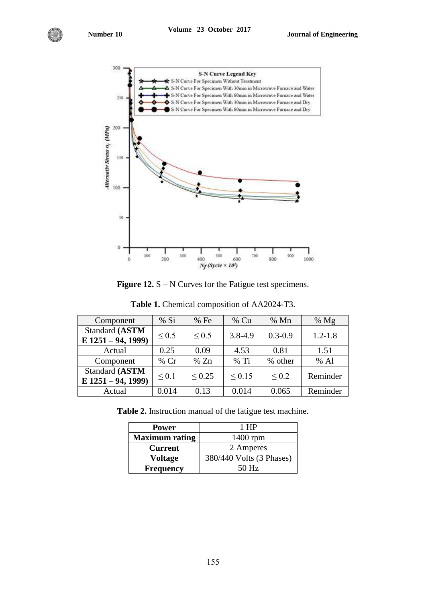

**Figure 12.** S – N Curves for the Fatigue test specimens.

| Component            | % Si       | %Fe         | $%$ Cu      | % Mn        | % $Mg$      |
|----------------------|------------|-------------|-------------|-------------|-------------|
| Standard (ASTM       | ${}_{0.5}$ | ${}_{0.5}$  | $3.8 - 4.9$ | $0.3 - 0.9$ | $1.2 - 1.8$ |
| $E$ 1251 – 94, 1999) |            |             |             |             |             |
| Actual               | 0.25       | 0.09        | 4.53        | 0.81        | 1.51        |
| Component            | $%$ Cr     | % Zn        | $%$ Ti      | % other     | $%$ Al      |
| Standard (ASTM       | ${}_{0.1}$ | ${}_{0.25}$ | ${}_{0.15}$ | ${}_{0.2}$  | Reminder    |
| $E$ 1251 – 94, 1999) |            |             |             |             |             |
| Actual               | 0.014      | 0.13        | 0.014       | 0.065       | Reminder    |

**Table 1.** Chemical composition of AA2024-T3.

**Table 2.** Instruction manual of the fatigue test machine.

| <b>Power</b>          | 1 HP                     |  |  |
|-----------------------|--------------------------|--|--|
| <b>Maximum rating</b> | $1400$ rpm               |  |  |
| <b>Current</b>        | 2 Amperes                |  |  |
| Voltage               | 380/440 Volts (3 Phases) |  |  |
| <b>Frequency</b>      | 50 Hz                    |  |  |